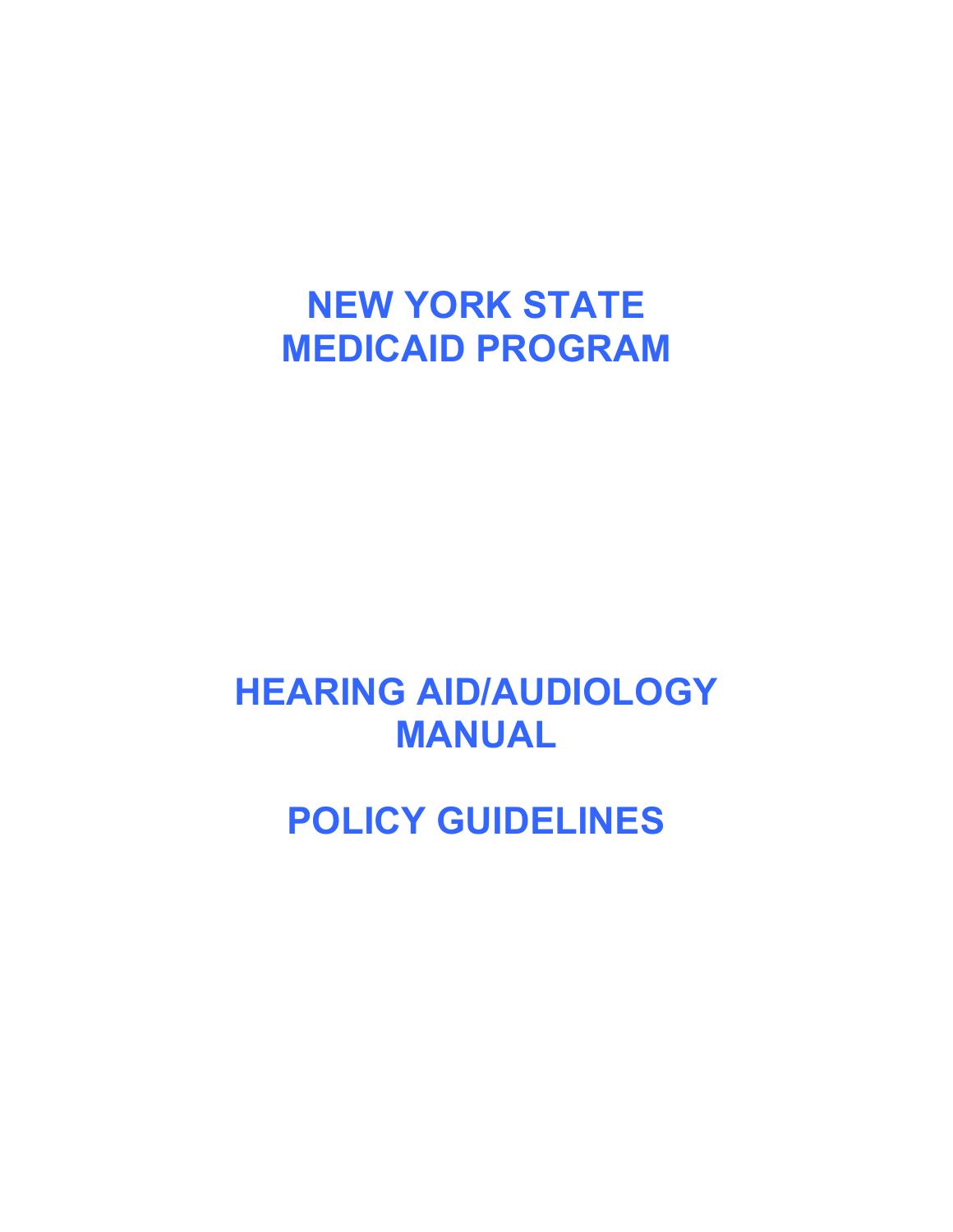# **NEW YORK STATE MEDICAID PROGRAM**

# **HEARING AID/AUDIOLOGY MANUAL**

**POLICY GUIDELINES**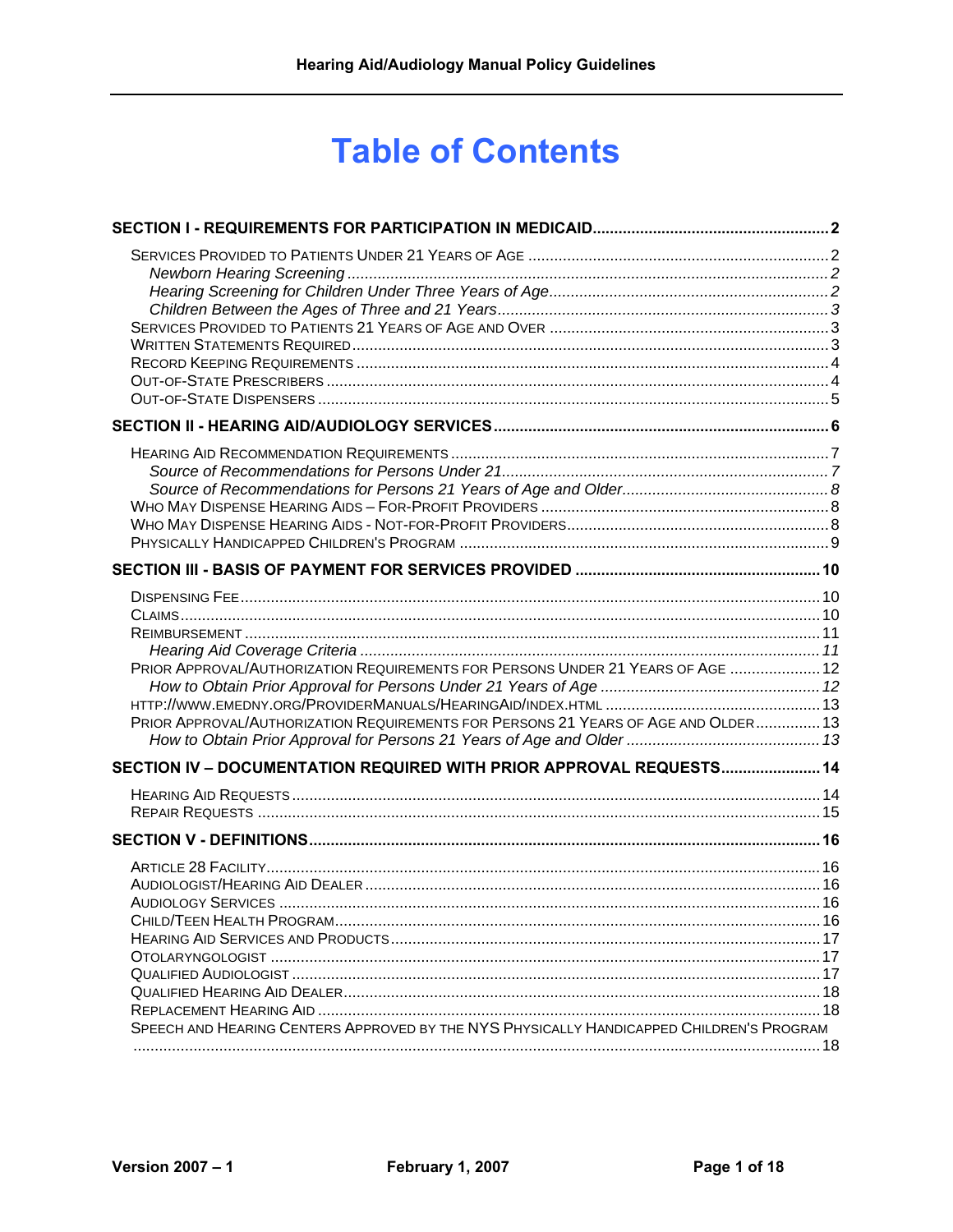# **Table of Contents**

| PRIOR APPROVAL/AUTHORIZATION REQUIREMENTS FOR PERSONS UNDER 21 YEARS OF AGE  12<br>PRIOR APPROVAL/AUTHORIZATION REQUIREMENTS FOR PERSONS 21 YEARS OF AGE AND OLDER 13 |  |
|-----------------------------------------------------------------------------------------------------------------------------------------------------------------------|--|
| SECTION IV - DOCUMENTATION REQUIRED WITH PRIOR APPROVAL REQUESTS 14                                                                                                   |  |
|                                                                                                                                                                       |  |
| SPEECH AND HEARING CENTERS APPROVED BY THE NYS PHYSICALLY HANDICAPPED CHILDREN'S PROGRAM                                                                              |  |
|                                                                                                                                                                       |  |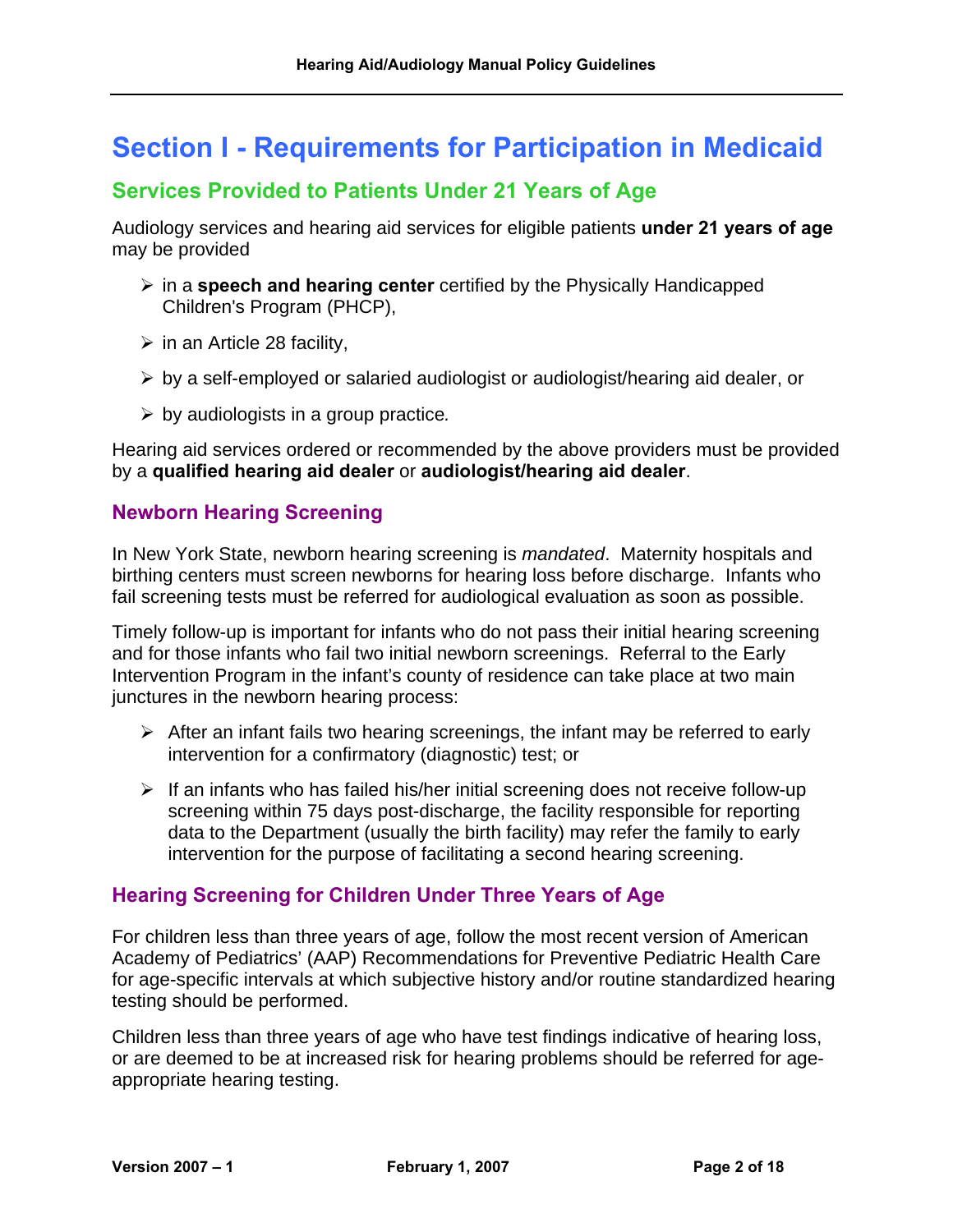# <span id="page-2-0"></span>**Section I - Requirements for Participation in Medicaid**

#### <span id="page-2-1"></span>**Services Provided to Patients Under 21 Years of Age**

Audiology services and hearing aid services for eligible patients **under 21 years of age** may be provided

- ¾ in a **speech and hearing center** certified by the Physically Handicapped Children's Program (PHCP),
- $\triangleright$  in an Article 28 facility,
- $\triangleright$  by a self-employed or salaried audiologist or audiologist/hearing aid dealer, or
- ¾ by audiologists in a group practice*.*

Hearing aid services ordered or recommended by the above providers must be provided by a **qualified hearing aid dealer** or **audiologist/hearing aid dealer**.

#### <span id="page-2-2"></span>**Newborn Hearing Screening**

In New York State, newborn hearing screening is *mandated*. Maternity hospitals and birthing centers must screen newborns for hearing loss before discharge. Infants who fail screening tests must be referred for audiological evaluation as soon as possible.

Timely follow-up is important for infants who do not pass their initial hearing screening and for those infants who fail two initial newborn screenings. Referral to the Early Intervention Program in the infant's county of residence can take place at two main junctures in the newborn hearing process:

- $\triangleright$  After an infant fails two hearing screenings, the infant may be referred to early intervention for a confirmatory (diagnostic) test; or
- $\triangleright$  If an infants who has failed his/her initial screening does not receive follow-up screening within 75 days post-discharge, the facility responsible for reporting data to the Department (usually the birth facility) may refer the family to early intervention for the purpose of facilitating a second hearing screening.

#### <span id="page-2-3"></span>**Hearing Screening for Children Under Three Years of Age**

For children less than three years of age, follow the most recent version of American Academy of Pediatrics' (AAP) Recommendations for Preventive Pediatric Health Care for age-specific intervals at which subjective history and/or routine standardized hearing testing should be performed.

Children less than three years of age who have test findings indicative of hearing loss, or are deemed to be at increased risk for hearing problems should be referred for ageappropriate hearing testing.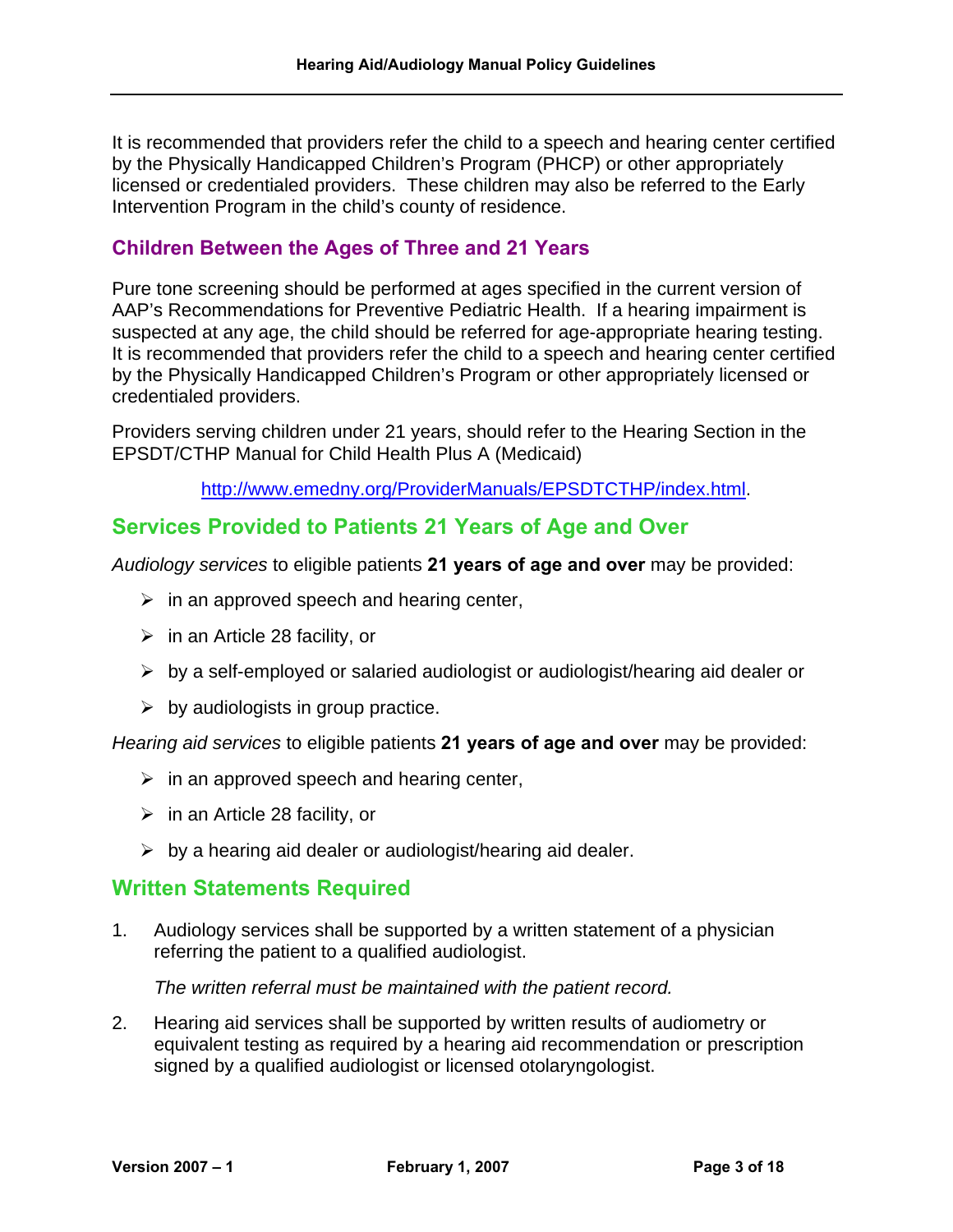It is recommended that providers refer the child to a speech and hearing center certified by the Physically Handicapped Children's Program (PHCP) or other appropriately licensed or credentialed providers. These children may also be referred to the Early Intervention Program in the child's county of residence.

#### <span id="page-3-0"></span>**Children Between the Ages of Three and 21 Years**

Pure tone screening should be performed at ages specified in the current version of AAP's Recommendations for Preventive Pediatric Health. If a hearing impairment is suspected at any age, the child should be referred for age-appropriate hearing testing. It is recommended that providers refer the child to a speech and hearing center certified by the Physically Handicapped Children's Program or other appropriately licensed or credentialed providers.

Providers serving children under 21 years, should refer to the Hearing Section in the EPSDT/CTHP Manual for Child Health Plus A (Medicaid)

[http://www.emedny.org/ProviderManuals/EPSDTCTHP/index.html.](http://www.emedny.org/ProviderManuals/EPSDTCTHP/index.html)

## <span id="page-3-1"></span>**Services Provided to Patients 21 Years of Age and Over**

*Audiology services* to eligible patients **21 years of age and over** may be provided:

- $\triangleright$  in an approved speech and hearing center,
- $\triangleright$  in an Article 28 facility, or
- $\triangleright$  by a self-employed or salaried audiologist or audiologist/hearing aid dealer or
- $\triangleright$  by audiologists in group practice.

*Hearing aid services* to eligible patients **21 years of age and over** may be provided:

- $\triangleright$  in an approved speech and hearing center,
- $\triangleright$  in an Article 28 facility, or
- $\triangleright$  by a hearing aid dealer or audiologist/hearing aid dealer.

#### <span id="page-3-2"></span>**Written Statements Required**

1. Audiology services shall be supported by a written statement of a physician referring the patient to a qualified audiologist.

*The written referral must be maintained with the patient record.*

2. Hearing aid services shall be supported by written results of audiometry or equivalent testing as required by a hearing aid recommendation or prescription signed by a qualified audiologist or licensed otolaryngologist.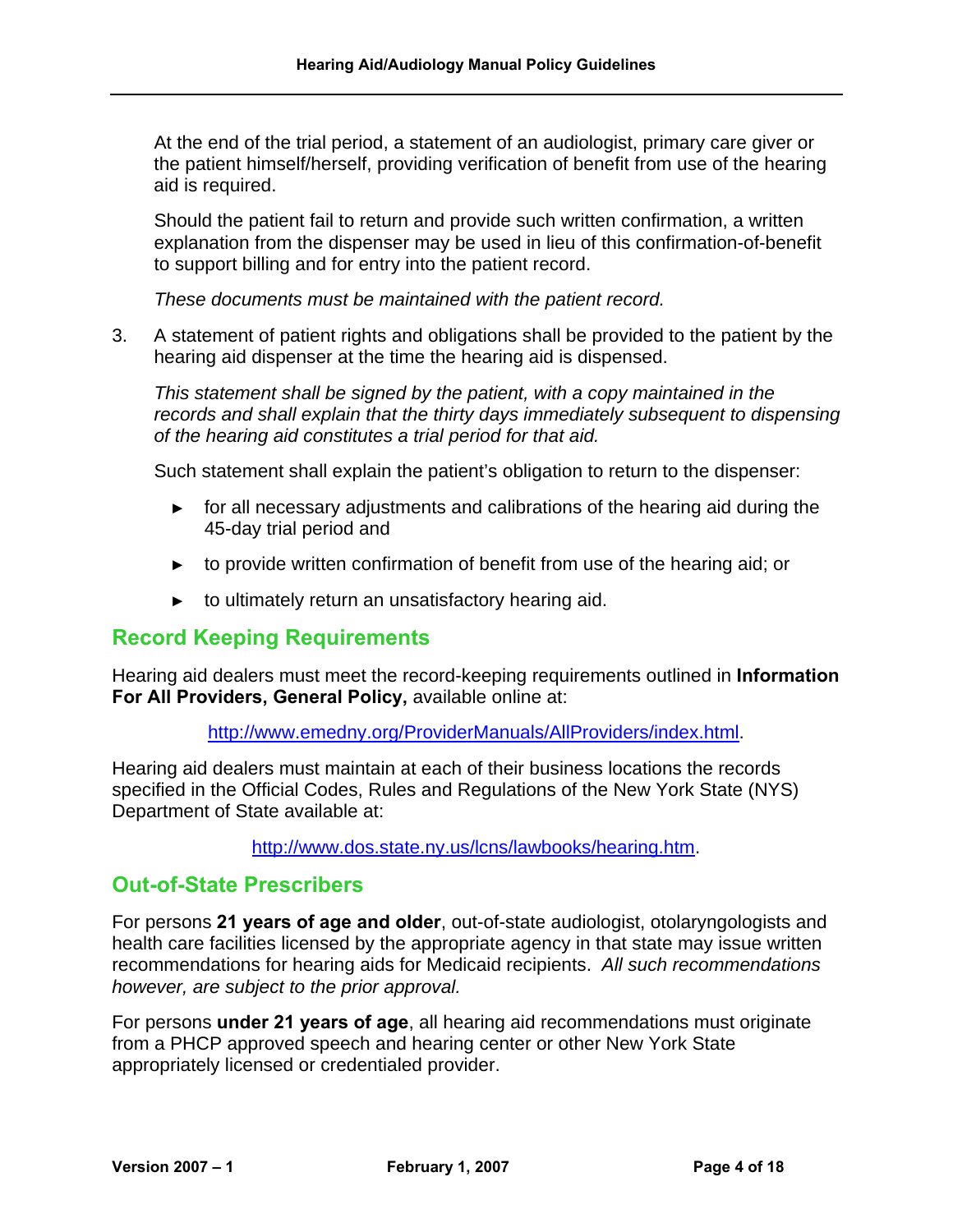At the end of the trial period, a statement of an audiologist, primary care giver or the patient himself/herself, providing verification of benefit from use of the hearing aid is required.

Should the patient fail to return and provide such written confirmation, a written explanation from the dispenser may be used in lieu of this confirmation-of-benefit to support billing and for entry into the patient record.

*These documents must be maintained with the patient record.*

3. A statement of patient rights and obligations shall be provided to the patient by the hearing aid dispenser at the time the hearing aid is dispensed.

*This statement shall be signed by the patient, with a copy maintained in the records and shall explain that the thirty days immediately subsequent to dispensing of the hearing aid constitutes a trial period for that aid.* 

Such statement shall explain the patient's obligation to return to the dispenser:

- **►** for all necessary adjustments and calibrations of the hearing aid during the 45-day trial period and
- **►** to provide written confirmation of benefit from use of the hearing aid; or
- **►** to ultimately return an unsatisfactory hearing aid.

#### <span id="page-4-0"></span>**Record Keeping Requirements**

Hearing aid dealers must meet the record-keeping requirements outlined in **Information For All Providers, General Policy,** available online at:

[http://www.emedny.org/ProviderManuals/AllProviders/index.html.](http://www.emedny.org/ProviderManuals/AllProviders/index.html)

Hearing aid dealers must maintain at each of their business locations the records specified in the Official Codes, Rules and Regulations of the New York State (NYS) Department of State available at:

[http://www.dos.state.ny.us/lcns/lawbooks/hearing.htm.](http://www.dos.state.ny.us/lcns/lawbooks/hearing.htm)

#### <span id="page-4-1"></span>**Out-of-State Prescribers**

For persons **21 years of age and older**, out-of-state audiologist, otolaryngologists and health care facilities licensed by the appropriate agency in that state may issue written recommendations for hearing aids for Medicaid recipients. *All such recommendations however, are subject to the prior approval.* 

For persons **under 21 years of age**, all hearing aid recommendations must originate from a PHCP approved speech and hearing center or other New York State appropriately licensed or credentialed provider.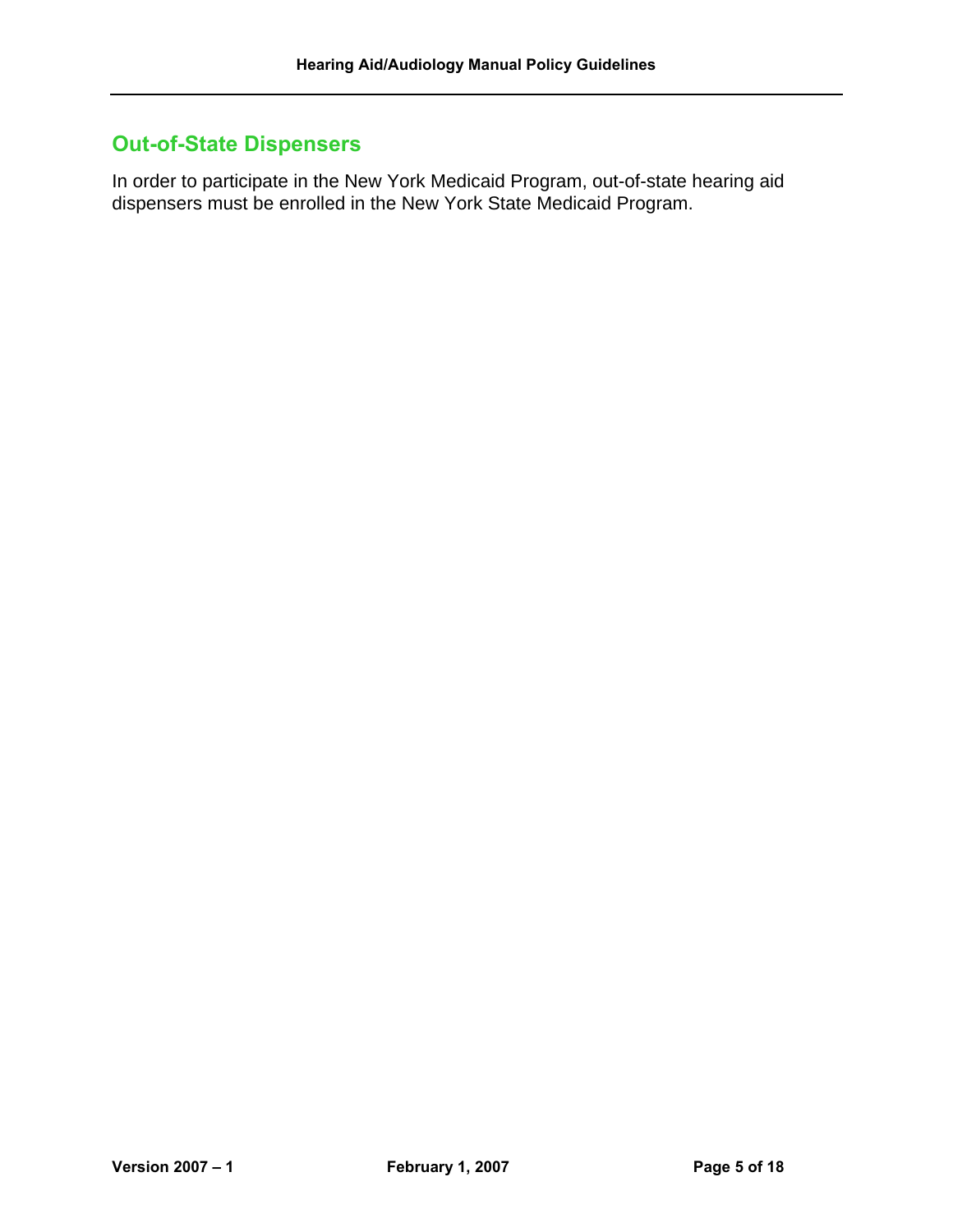## <span id="page-5-0"></span>**Out-of-State Dispensers**

In order to participate in the New York Medicaid Program, out-of-state hearing aid dispensers must be enrolled in the New York State Medicaid Program.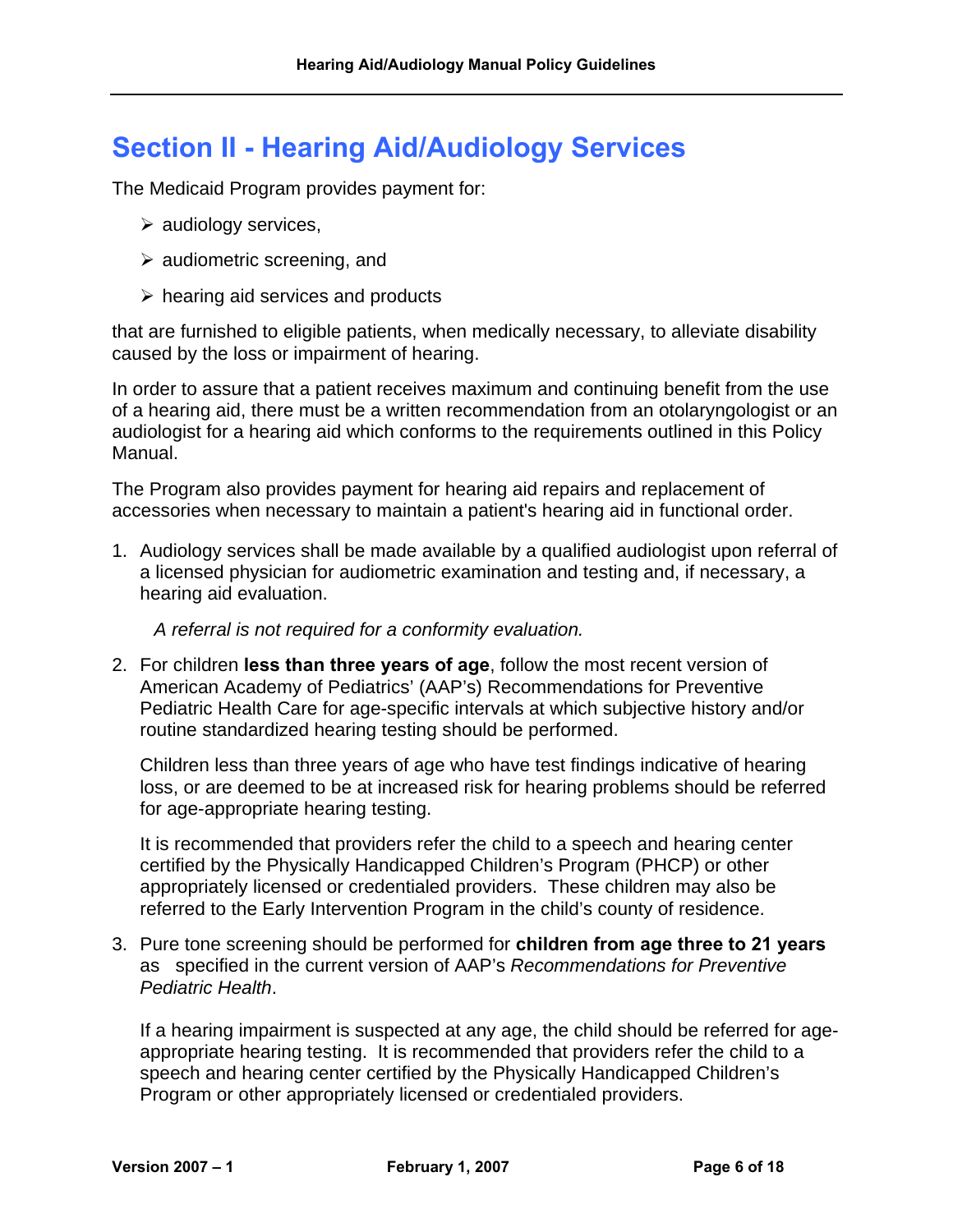# <span id="page-6-0"></span>**Section II - Hearing Aid/Audiology Services**

The Medicaid Program provides payment for:

- $\triangleright$  audiology services,
- $\triangleright$  audiometric screening, and
- $\triangleright$  hearing aid services and products

that are furnished to eligible patients, when medically necessary, to alleviate disability caused by the loss or impairment of hearing.

In order to assure that a patient receives maximum and continuing benefit from the use of a hearing aid, there must be a written recommendation from an otolaryngologist or an audiologist for a hearing aid which conforms to the requirements outlined in this Policy Manual.

The Program also provides payment for hearing aid repairs and replacement of accessories when necessary to maintain a patient's hearing aid in functional order.

1. Audiology services shall be made available by a qualified audiologist upon referral of a licensed physician for audiometric examination and testing and, if necessary, a hearing aid evaluation.

*A referral is not required for a conformity evaluation.* 

2. For children **less than three years of age**, follow the most recent version of American Academy of Pediatrics' (AAP's) Recommendations for Preventive Pediatric Health Care for age-specific intervals at which subjective history and/or routine standardized hearing testing should be performed.

Children less than three years of age who have test findings indicative of hearing loss, or are deemed to be at increased risk for hearing problems should be referred for age-appropriate hearing testing.

It is recommended that providers refer the child to a speech and hearing center certified by the Physically Handicapped Children's Program (PHCP) or other appropriately licensed or credentialed providers. These children may also be referred to the Early Intervention Program in the child's county of residence.

3. Pure tone screening should be performed for **children from age three to 21 years** as specified in the current version of AAP's *Recommendations for Preventive Pediatric Health*.

If a hearing impairment is suspected at any age, the child should be referred for ageappropriate hearing testing. It is recommended that providers refer the child to a speech and hearing center certified by the Physically Handicapped Children's Program or other appropriately licensed or credentialed providers.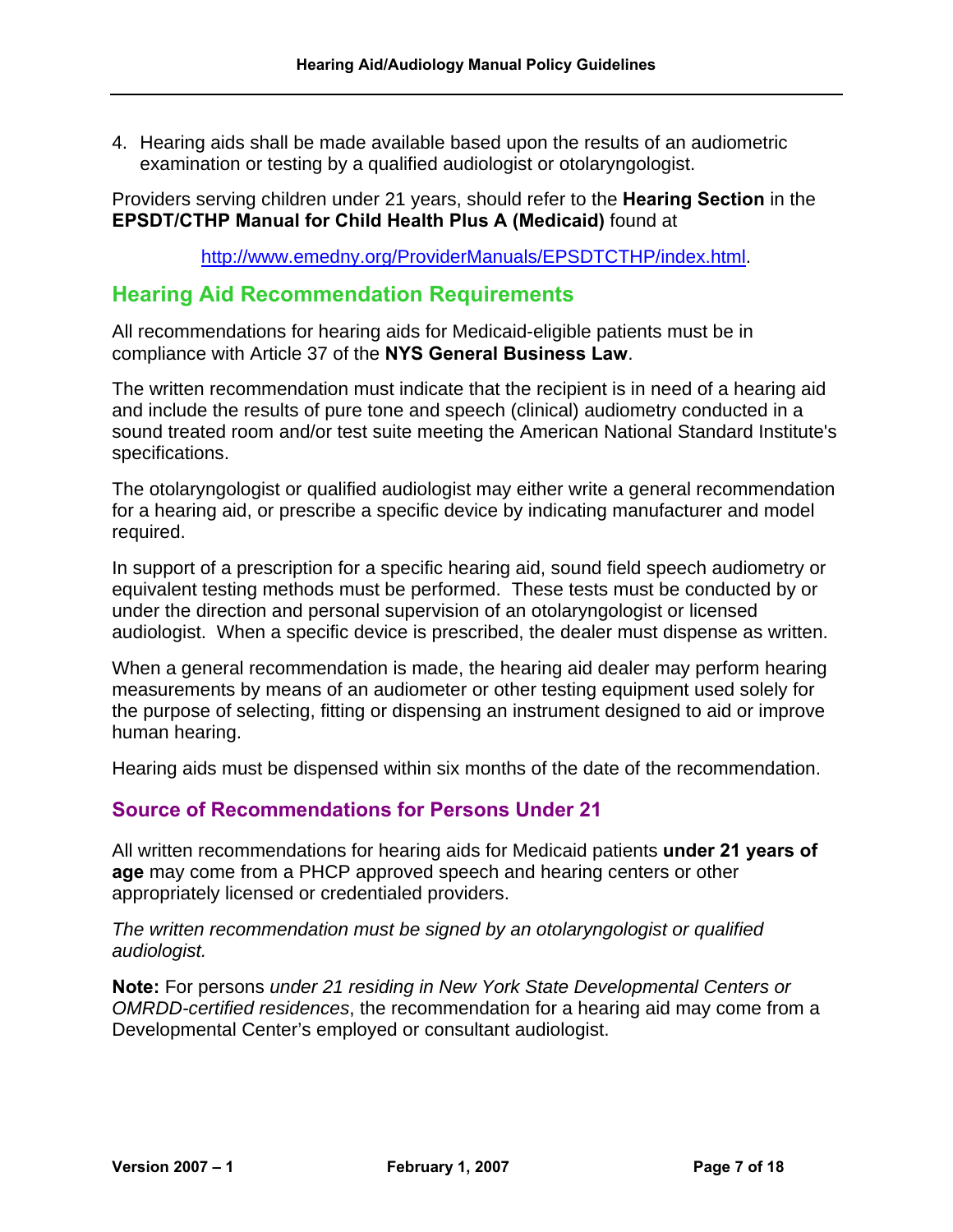4. Hearing aids shall be made available based upon the results of an audiometric examination or testing by a qualified audiologist or otolaryngologist.

Providers serving children under 21 years, should refer to the **Hearing Section** in the **EPSDT/CTHP Manual for Child Health Plus A (Medicaid)** found at

[http://www.emedny.org/ProviderManuals/EPSDTCTHP/index.html.](http://www.emedny.org/ProviderManuals/EPSDTCTHP/index.html)

#### <span id="page-7-0"></span>**Hearing Aid Recommendation Requirements**

All recommendations for hearing aids for Medicaid-eligible patients must be in compliance with Article 37 of the **NYS General Business Law**.

The written recommendation must indicate that the recipient is in need of a hearing aid and include the results of pure tone and speech (clinical) audiometry conducted in a sound treated room and/or test suite meeting the American National Standard Institute's specifications.

The otolaryngologist or qualified audiologist may either write a general recommendation for a hearing aid, or prescribe a specific device by indicating manufacturer and model required.

In support of a prescription for a specific hearing aid, sound field speech audiometry or equivalent testing methods must be performed. These tests must be conducted by or under the direction and personal supervision of an otolaryngologist or licensed audiologist. When a specific device is prescribed, the dealer must dispense as written.

When a general recommendation is made, the hearing aid dealer may perform hearing measurements by means of an audiometer or other testing equipment used solely for the purpose of selecting, fitting or dispensing an instrument designed to aid or improve human hearing.

Hearing aids must be dispensed within six months of the date of the recommendation.

#### <span id="page-7-1"></span>**Source of Recommendations for Persons Under 21**

All written recommendations for hearing aids for Medicaid patients **under 21 years of age** may come from a PHCP approved speech and hearing centers or other appropriately licensed or credentialed providers.

*The written recommendation must be signed by an otolaryngologist or qualified audiologist.* 

**Note:** For persons *under 21 residing in New York State Developmental Centers or OMRDD-certified residences*, the recommendation for a hearing aid may come from a Developmental Center's employed or consultant audiologist.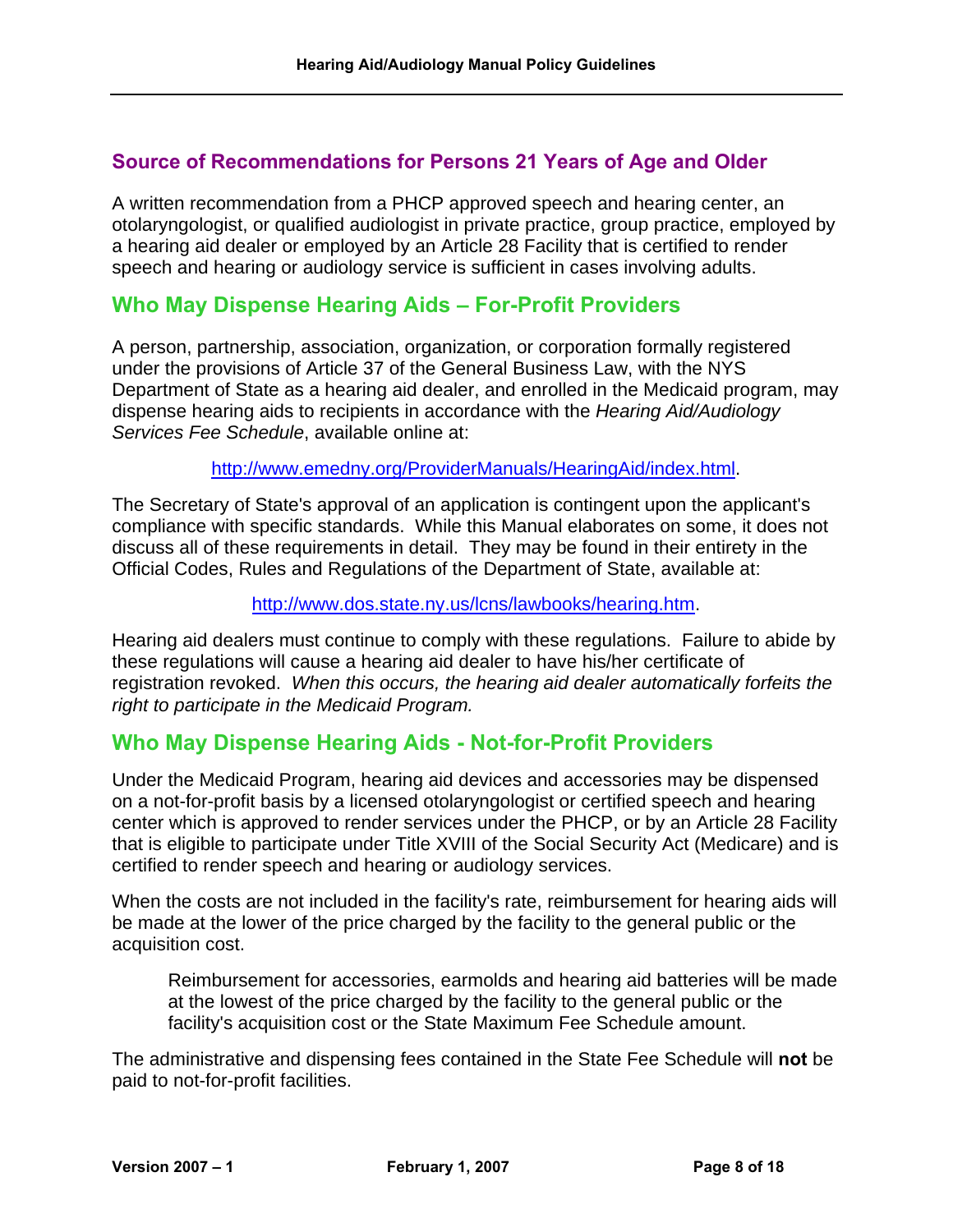#### <span id="page-8-0"></span>**Source of Recommendations for Persons 21 Years of Age and Older**

A written recommendation from a PHCP approved speech and hearing center, an otolaryngologist, or qualified audiologist in private practice, group practice, employed by a hearing aid dealer or employed by an Article 28 Facility that is certified to render speech and hearing or audiology service is sufficient in cases involving adults.

#### <span id="page-8-1"></span>**Who May Dispense Hearing Aids – For-Profit Providers**

A person, partnership, association, organization, or corporation formally registered under the provisions of Article 37 of the General Business Law, with the NYS Department of State as a hearing aid dealer, and enrolled in the Medicaid program, may dispense hearing aids to recipients in accordance with the *Hearing Aid/Audiology Services Fee Schedule*, available online at:

[http://www.emedny.org/ProviderManuals/HearingAid/index.html.](http://www.emedny.org/ProviderManuals/HearingAid/index.html)

The Secretary of State's approval of an application is contingent upon the applicant's compliance with specific standards. While this Manual elaborates on some, it does not discuss all of these requirements in detail. They may be found in their entirety in the Official Codes, Rules and Regulations of the Department of State, available at:

[http://www.dos.state.ny.us/lcns/lawbooks/hearing.htm.](http://www.dos.state.ny.us/lcns/lawbooks/hearing.htm)

Hearing aid dealers must continue to comply with these regulations. Failure to abide by these regulations will cause a hearing aid dealer to have his/her certificate of registration revoked. *When this occurs, the hearing aid dealer automatically forfeits the right to participate in the Medicaid Program.*

#### <span id="page-8-2"></span>**Who May Dispense Hearing Aids - Not-for-Profit Providers**

Under the Medicaid Program, hearing aid devices and accessories may be dispensed on a not-for-profit basis by a licensed otolaryngologist or certified speech and hearing center which is approved to render services under the PHCP, or by an Article 28 Facility that is eligible to participate under Title XVIII of the Social Security Act (Medicare) and is certified to render speech and hearing or audiology services.

When the costs are not included in the facility's rate, reimbursement for hearing aids will be made at the lower of the price charged by the facility to the general public or the acquisition cost.

Reimbursement for accessories, earmolds and hearing aid batteries will be made at the lowest of the price charged by the facility to the general public or the facility's acquisition cost or the State Maximum Fee Schedule amount.

The administrative and dispensing fees contained in the State Fee Schedule will **not** be paid to not-for-profit facilities.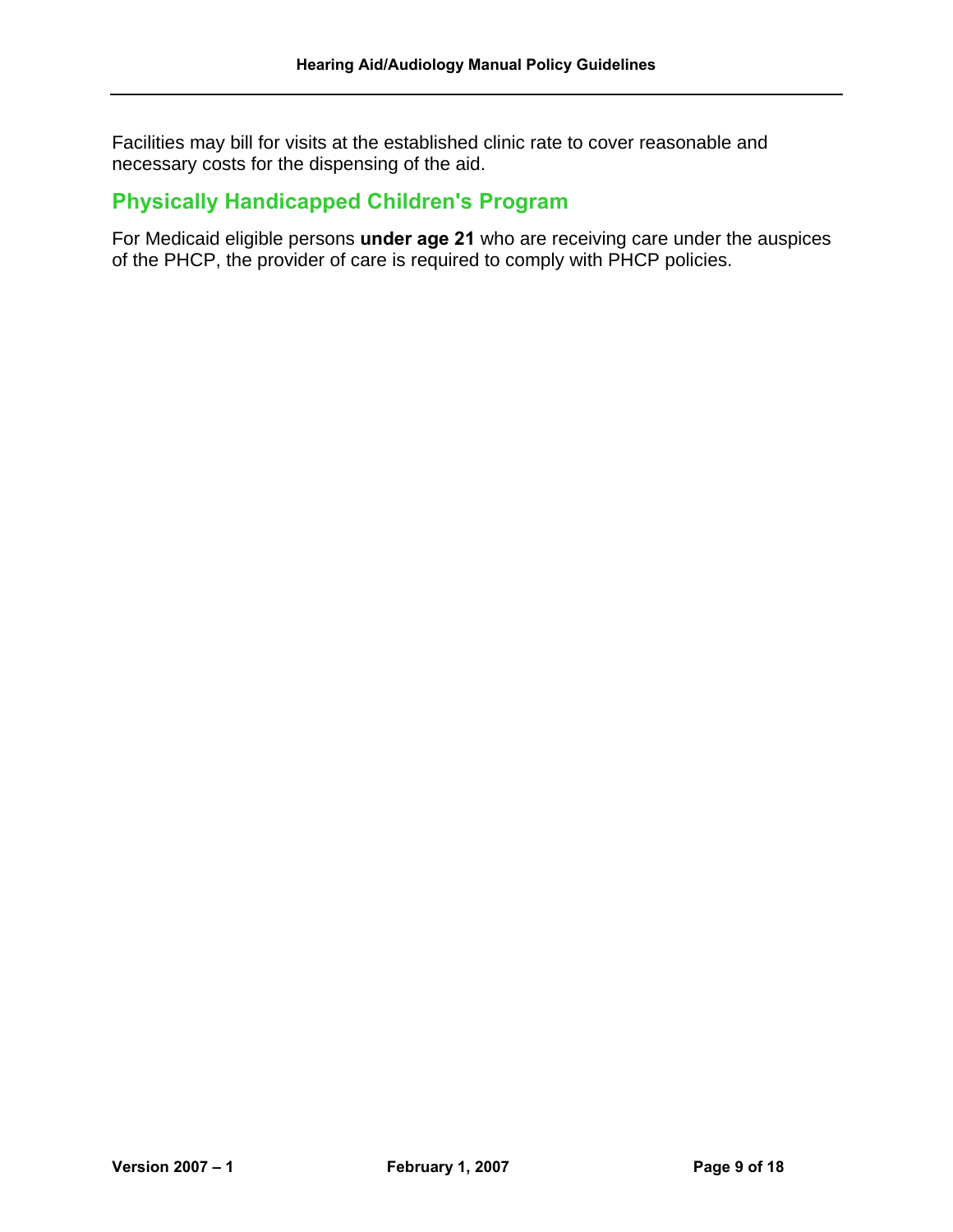Facilities may bill for visits at the established clinic rate to cover reasonable and necessary costs for the dispensing of the aid.

## <span id="page-9-0"></span>**Physically Handicapped Children's Program**

For Medicaid eligible persons **under age 21** who are receiving care under the auspices of the PHCP, the provider of care is required to comply with PHCP policies.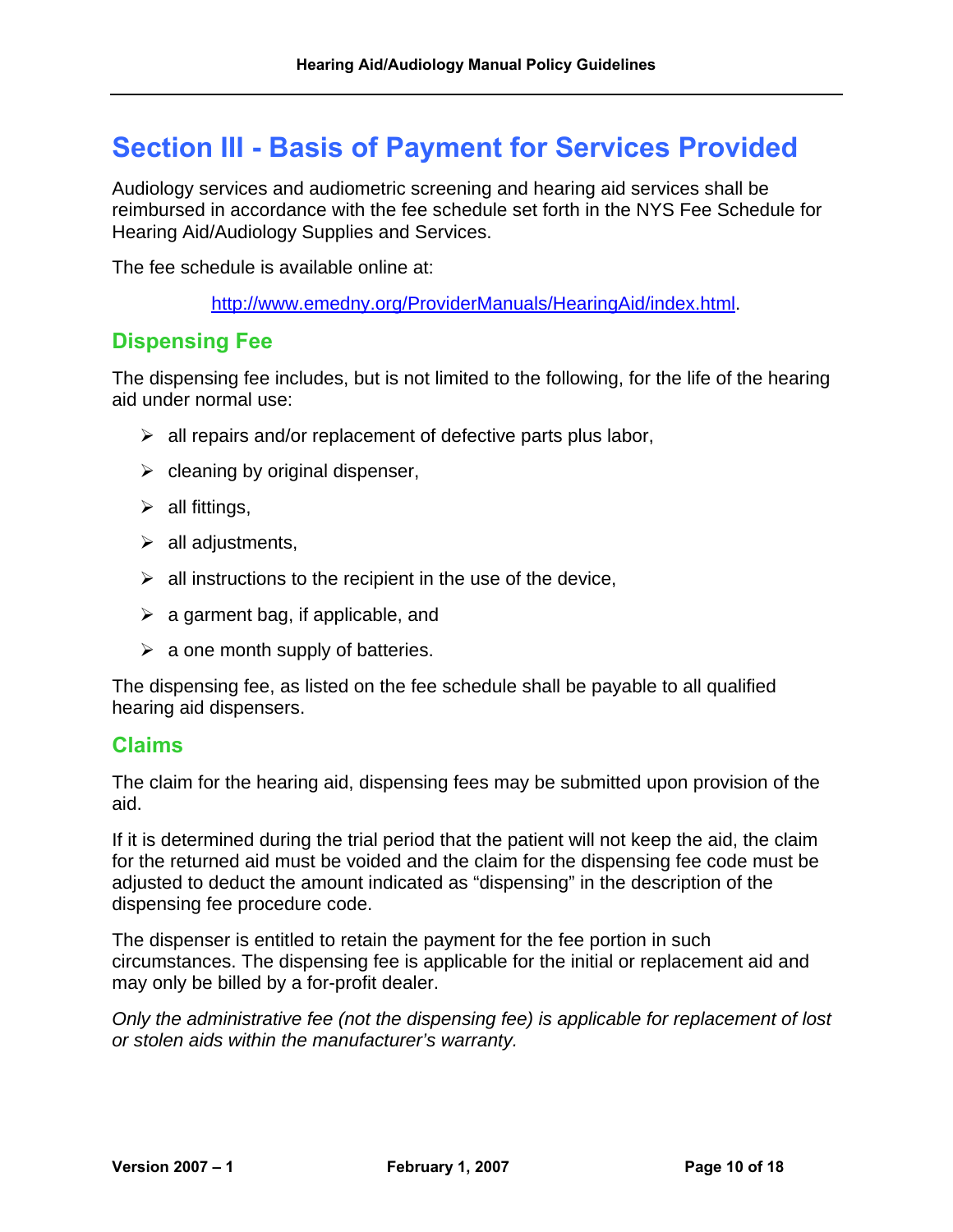# <span id="page-10-0"></span>**Section III - Basis of Payment for Services Provided**

Audiology services and audiometric screening and hearing aid services shall be reimbursed in accordance with the fee schedule set forth in the NYS Fee Schedule for Hearing Aid/Audiology Supplies and Services.

The fee schedule is available online at:

[http://www.emedny.org/ProviderManuals/HearingAid/index.html.](http://www.emedny.org/ProviderManuals/HearingAid/index.html)

#### <span id="page-10-1"></span>**Dispensing Fee**

The dispensing fee includes, but is not limited to the following, for the life of the hearing aid under normal use:

- $\triangleright$  all repairs and/or replacement of defective parts plus labor,
- $\triangleright$  cleaning by original dispenser,
- $\triangleright$  all fittings,
- $\triangleright$  all adjustments,
- $\triangleright$  all instructions to the recipient in the use of the device,
- $\triangleright$  a garment bag, if applicable, and
- $\triangleright$  a one month supply of batteries.

The dispensing fee, as listed on the fee schedule shall be payable to all qualified hearing aid dispensers.

#### <span id="page-10-2"></span>**Claims**

The claim for the hearing aid, dispensing fees may be submitted upon provision of the aid.

If it is determined during the trial period that the patient will not keep the aid, the claim for the returned aid must be voided and the claim for the dispensing fee code must be adjusted to deduct the amount indicated as "dispensing" in the description of the dispensing fee procedure code.

The dispenser is entitled to retain the payment for the fee portion in such circumstances. The dispensing fee is applicable for the initial or replacement aid and may only be billed by a for-profit dealer.

*Only the administrative fee (not the dispensing fee) is applicable for replacement of lost or stolen aids within the manufacturer's warranty.*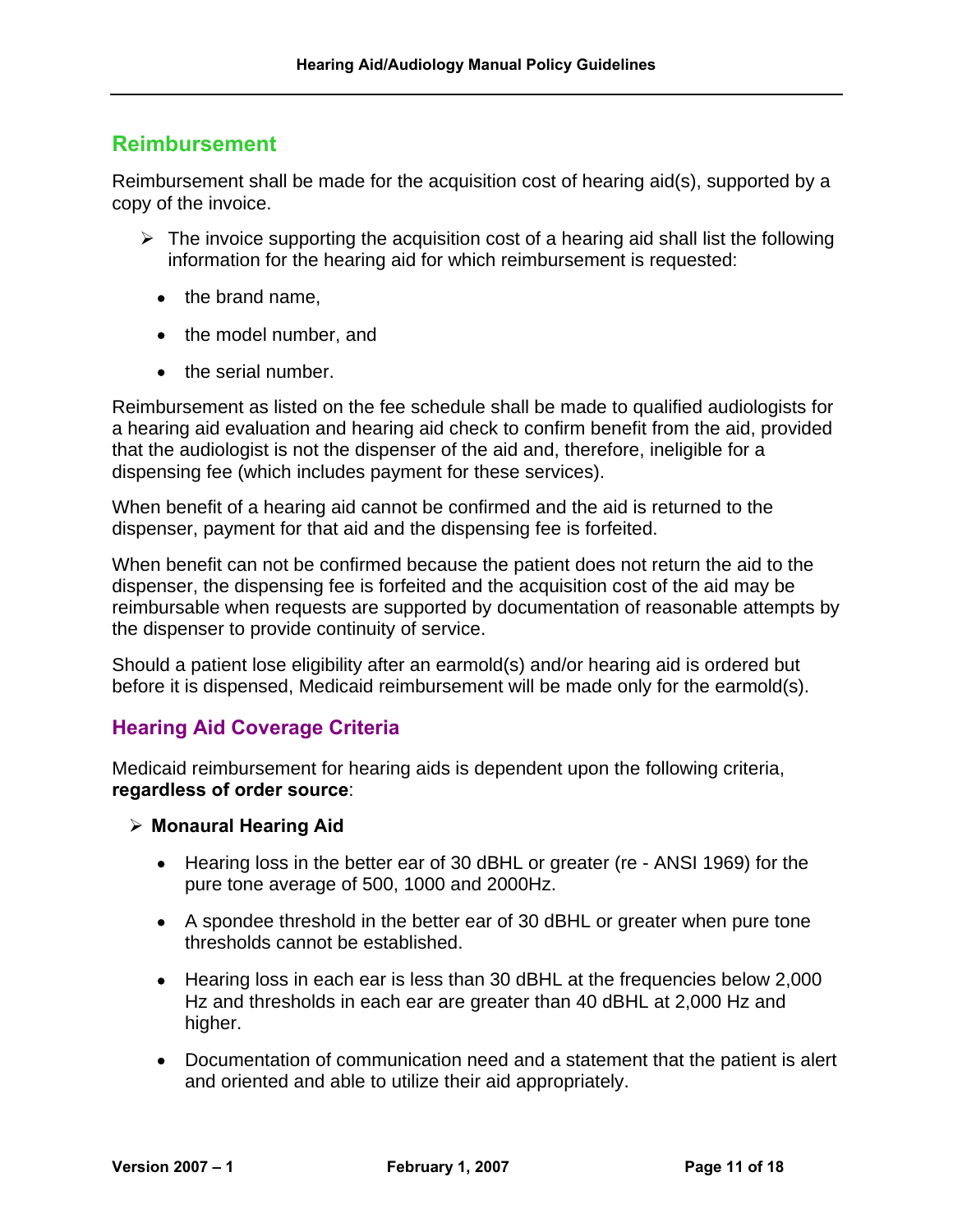### <span id="page-11-0"></span>**Reimbursement**

Reimbursement shall be made for the acquisition cost of hearing aid(s), supported by a copy of the invoice.

- $\triangleright$  The invoice supporting the acquisition cost of a hearing aid shall list the following information for the hearing aid for which reimbursement is requested:
	- the brand name,
	- the model number, and
	- the serial number.

Reimbursement as listed on the fee schedule shall be made to qualified audiologists for a hearing aid evaluation and hearing aid check to confirm benefit from the aid, provided that the audiologist is not the dispenser of the aid and, therefore, ineligible for a dispensing fee (which includes payment for these services).

When benefit of a hearing aid cannot be confirmed and the aid is returned to the dispenser, payment for that aid and the dispensing fee is forfeited.

When benefit can not be confirmed because the patient does not return the aid to the dispenser, the dispensing fee is forfeited and the acquisition cost of the aid may be reimbursable when requests are supported by documentation of reasonable attempts by the dispenser to provide continuity of service.

Should a patient lose eligibility after an earmold(s) and/or hearing aid is ordered but before it is dispensed, Medicaid reimbursement will be made only for the earmold(s).

#### <span id="page-11-1"></span>**Hearing Aid Coverage Criteria**

Medicaid reimbursement for hearing aids is dependent upon the following criteria, **regardless of order source**:

- ¾ **Monaural Hearing Aid** 
	- Hearing loss in the better ear of 30 dBHL or greater (re ANSI 1969) for the pure tone average of 500, 1000 and 2000Hz.
	- A spondee threshold in the better ear of 30 dBHL or greater when pure tone thresholds cannot be established.
	- Hearing loss in each ear is less than 30 dBHL at the frequencies below 2,000 Hz and thresholds in each ear are greater than 40 dBHL at 2,000 Hz and higher.
	- Documentation of communication need and a statement that the patient is alert and oriented and able to utilize their aid appropriately.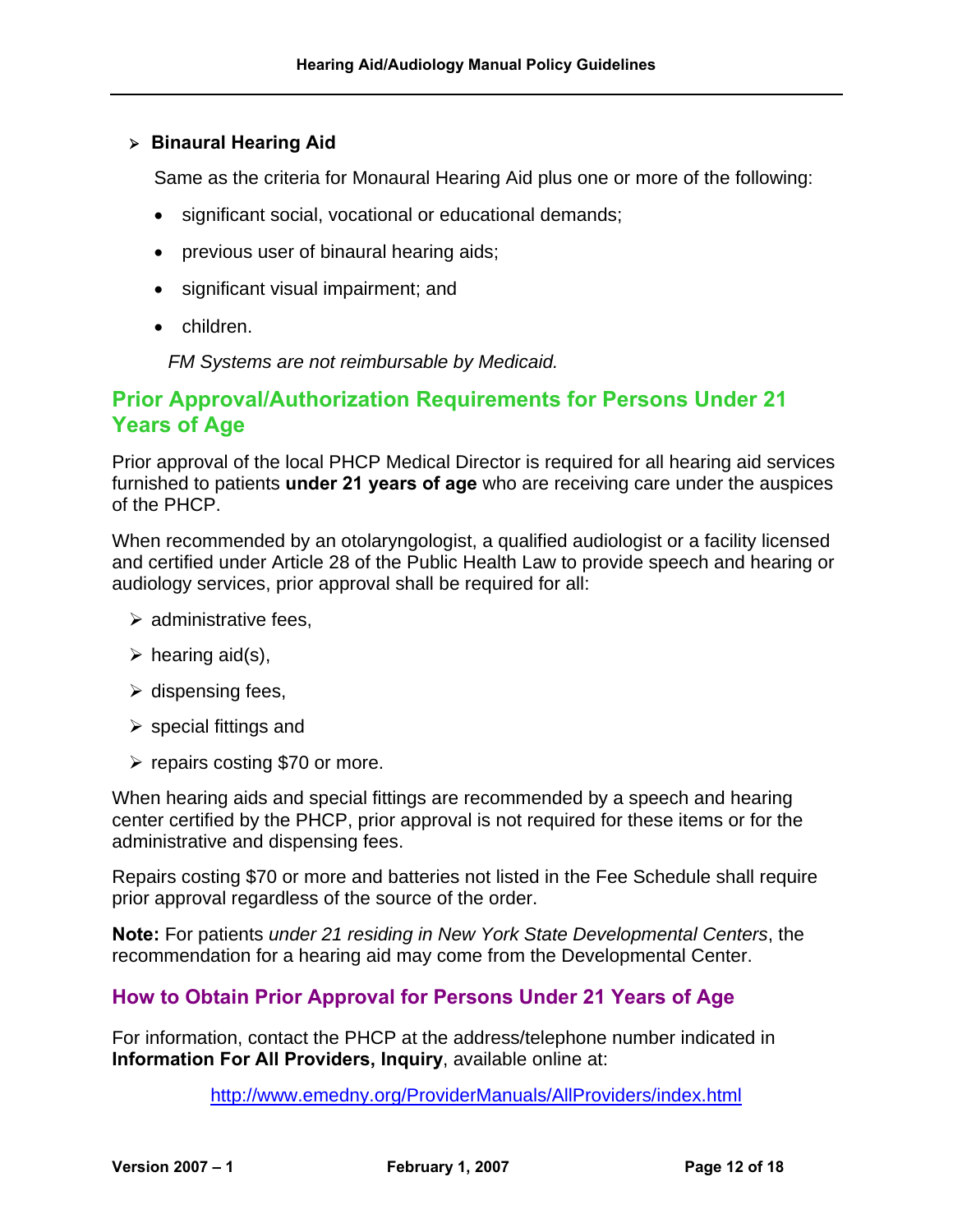#### ¾ **Binaural Hearing Aid**

Same as the criteria for Monaural Hearing Aid plus one or more of the following:

- significant social, vocational or educational demands;
- previous user of binaural hearing aids;
- significant visual impairment; and
- children.

*FM Systems are not reimbursable by Medicaid.* 

#### <span id="page-12-0"></span>**Prior Approval/Authorization Requirements for Persons Under 21 Years of Age**

Prior approval of the local PHCP Medical Director is required for all hearing aid services furnished to patients **under 21 years of age** who are receiving care under the auspices of the PHCP.

When recommended by an otolaryngologist, a qualified audiologist or a facility licensed and certified under Article 28 of the Public Health Law to provide speech and hearing or audiology services, prior approval shall be required for all:

- $\triangleright$  administrative fees.
- $\triangleright$  hearing aid(s),
- $\triangleright$  dispensing fees,
- $\triangleright$  special fittings and
- $\triangleright$  repairs costing \$70 or more.

When hearing aids and special fittings are recommended by a speech and hearing center certified by the PHCP, prior approval is not required for these items or for the administrative and dispensing fees.

Repairs costing \$70 or more and batteries not listed in the Fee Schedule shall require prior approval regardless of the source of the order.

**Note:** For patients *under 21 residing in New York State Developmental Centers*, the recommendation for a hearing aid may come from the Developmental Center.

#### <span id="page-12-1"></span>**How to Obtain Prior Approval for Persons Under 21 Years of Age**

For information, contact the PHCP at the address/telephone number indicated in **Information For All Providers, Inquiry**, available online at:

<http://www.emedny.org/ProviderManuals/AllProviders/index.html>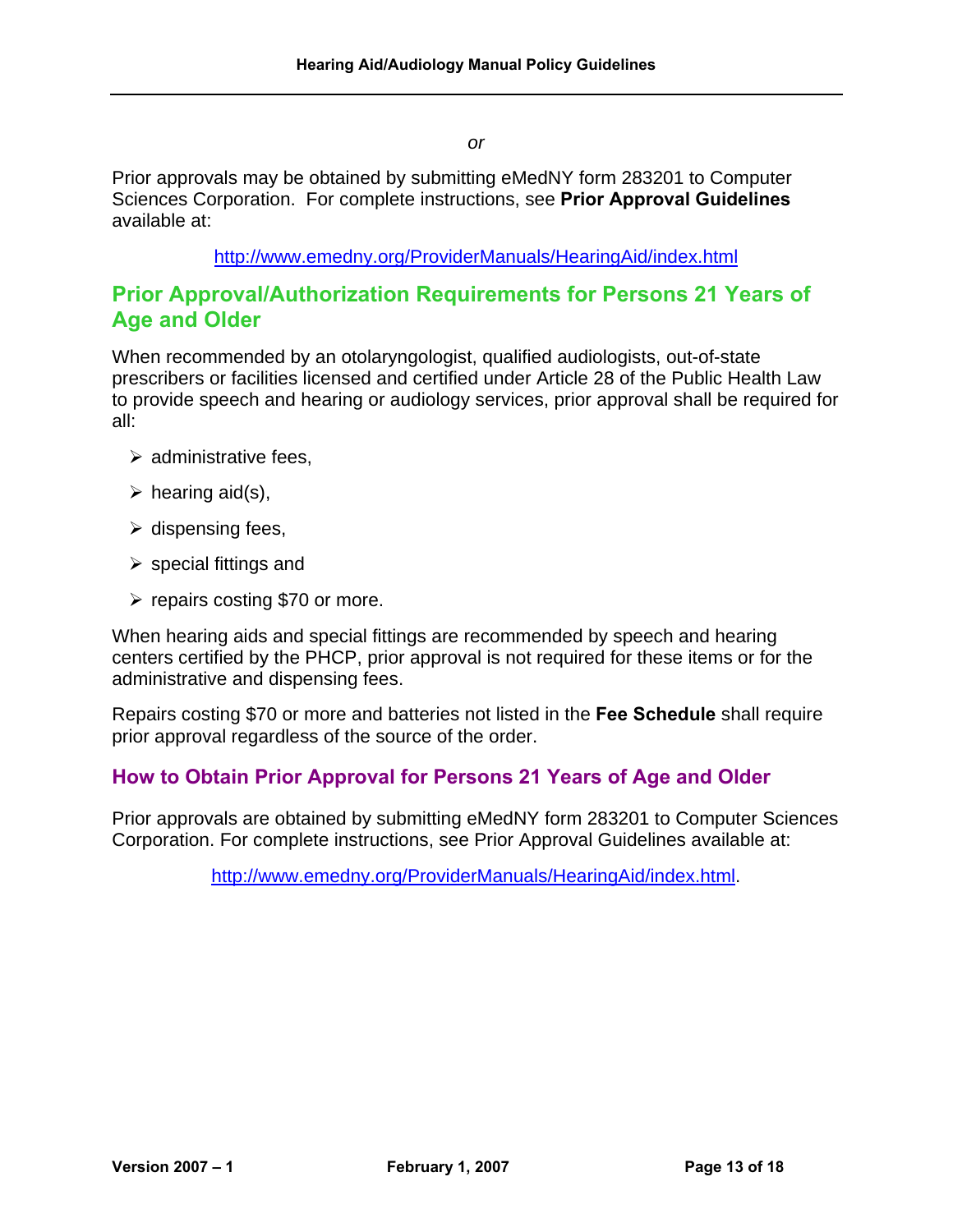*or* 

Prior approvals may be obtained by submitting eMedNY form 283201 to Computer Sciences Corporation. For complete instructions, see **Prior Approval Guidelines** available at:

#### <span id="page-13-0"></span><http://www.emedny.org/ProviderManuals/HearingAid/index.html>

#### <span id="page-13-1"></span>**Prior Approval/Authorization Requirements for Persons 21 Years of Age and Older**

When recommended by an otolaryngologist, qualified audiologists, out-of-state prescribers or facilities licensed and certified under Article 28 of the Public Health Law to provide speech and hearing or audiology services, prior approval shall be required for all:

- $\triangleright$  administrative fees.
- $\triangleright$  hearing aid(s),
- $\triangleright$  dispensing fees,
- $\triangleright$  special fittings and
- $\triangleright$  repairs costing \$70 or more.

When hearing aids and special fittings are recommended by speech and hearing centers certified by the PHCP, prior approval is not required for these items or for the administrative and dispensing fees.

Repairs costing \$70 or more and batteries not listed in the **Fee Schedule** shall require prior approval regardless of the source of the order.

#### <span id="page-13-2"></span>**How to Obtain Prior Approval for Persons 21 Years of Age and Older**

Prior approvals are obtained by submitting eMedNY form 283201 to Computer Sciences Corporation. For complete instructions, see Prior Approval Guidelines available at:

[http://www.emedny.org/ProviderManuals/HearingAid/index.html.](http://www.emedny.org/ProviderManuals/HearingAid/index.html)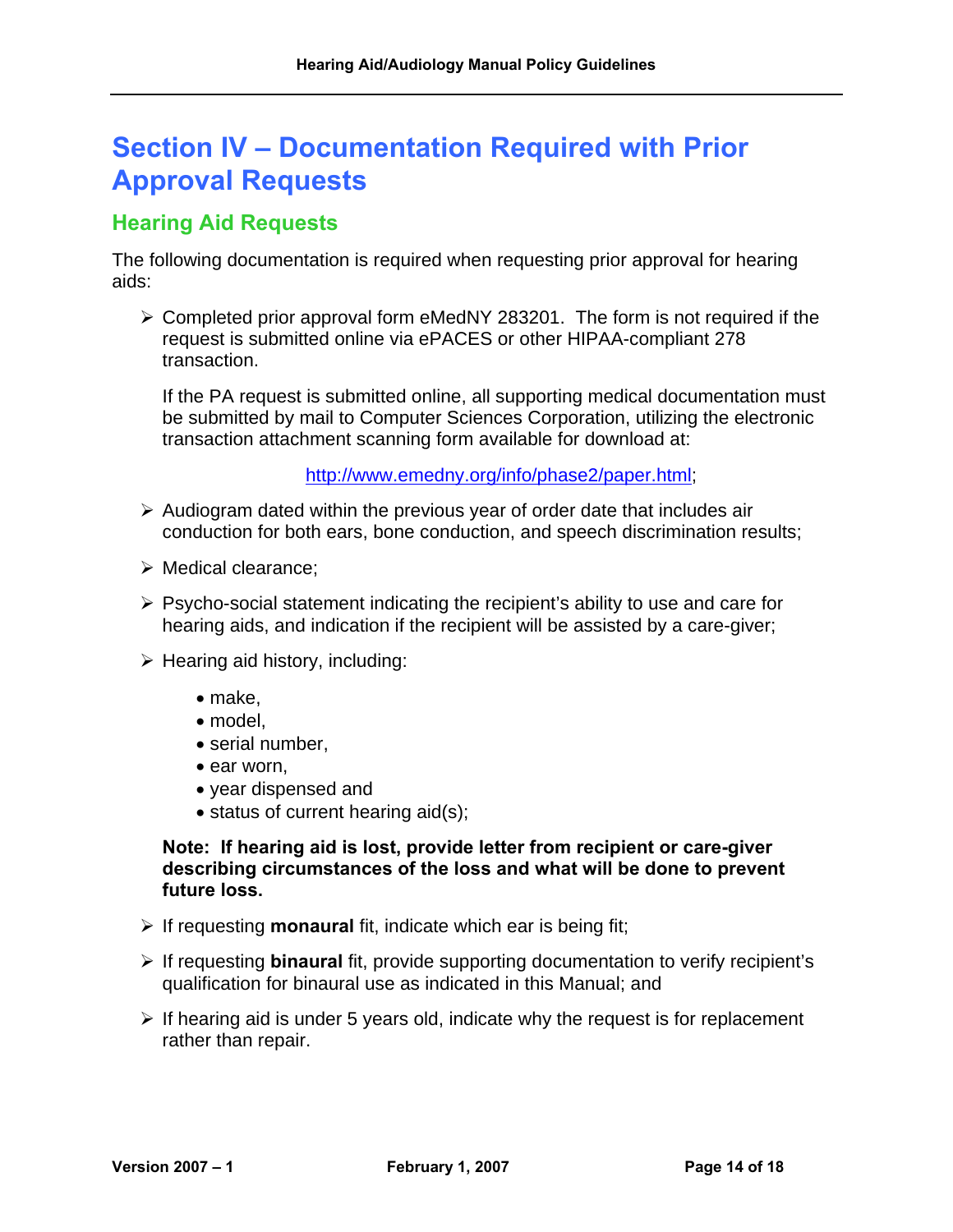# <span id="page-14-0"></span>**Section IV – Documentation Required with Prior Approval Requests**

# <span id="page-14-1"></span>**Hearing Aid Requests**

The following documentation is required when requesting prior approval for hearing aids:

 $\triangleright$  Completed prior approval form eMedNY 283201. The form is not required if the request is submitted online via ePACES or other HIPAA-compliant 278 transaction.

If the PA request is submitted online, all supporting medical documentation must be submitted by mail to Computer Sciences Corporation, utilizing the electronic transaction attachment scanning form available for download at:

[http://www.emedny.org/info/phase2/paper.html;](http://www.emedny.org/info/phase2/paper.html)

- $\triangleright$  Audiogram dated within the previous year of order date that includes air conduction for both ears, bone conduction, and speech discrimination results;
- $\triangleright$  Medical clearance:
- $\triangleright$  Psycho-social statement indicating the recipient's ability to use and care for hearing aids, and indication if the recipient will be assisted by a care-giver;
- $\triangleright$  Hearing aid history, including:
	- make,
	- model,
	- serial number,
	- ear worn,
	- year dispensed and
	- status of current hearing aid(s);

**Note: If hearing aid is lost, provide letter from recipient or care-giver describing circumstances of the loss and what will be done to prevent future loss.** 

- ¾ If requesting **monaural** fit, indicate which ear is being fit;
- ¾ If requesting **binaural** fit, provide supporting documentation to verify recipient's qualification for binaural use as indicated in this Manual; and
- $\triangleright$  If hearing aid is under 5 years old, indicate why the request is for replacement rather than repair.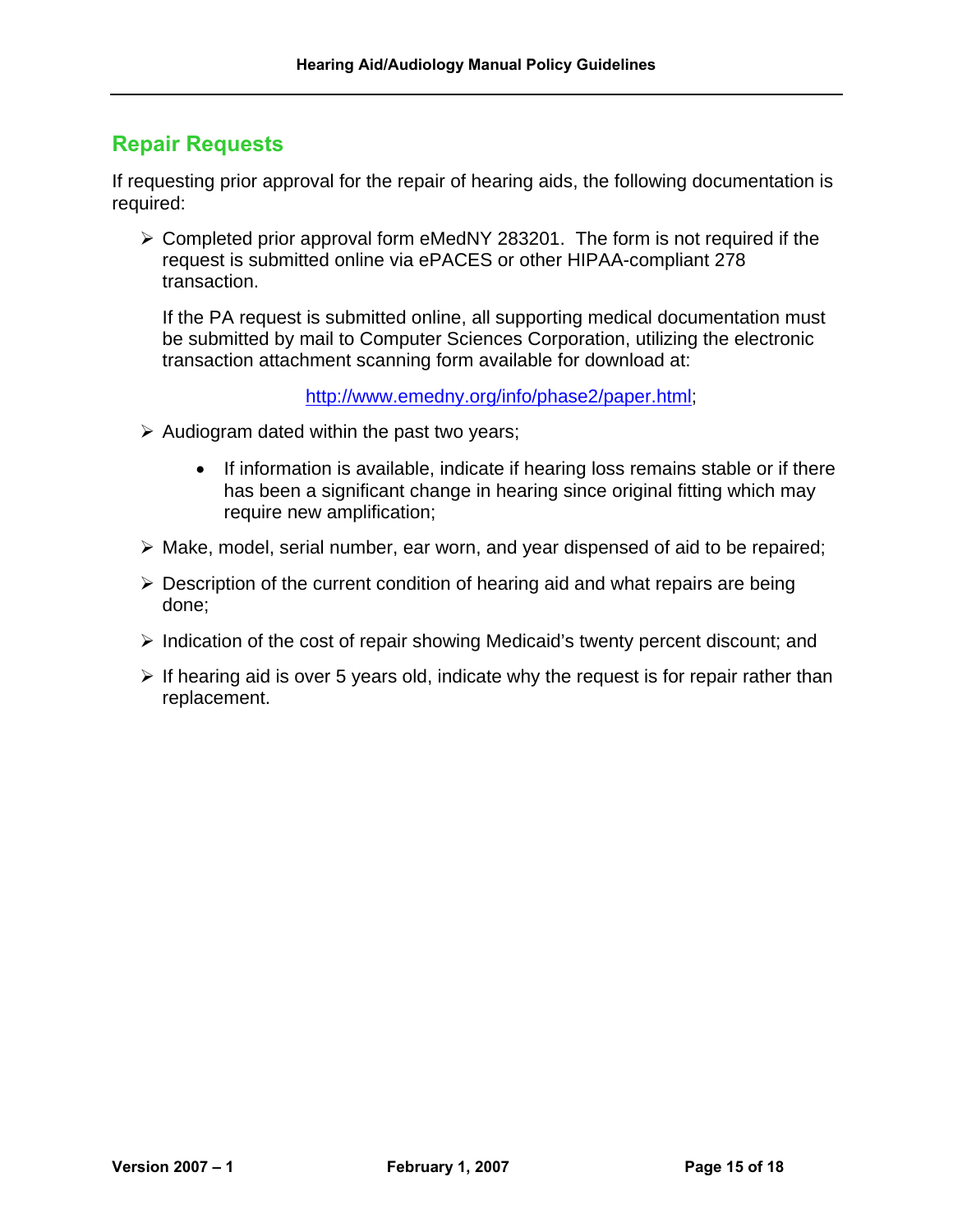# <span id="page-15-0"></span>**Repair Requests**

If requesting prior approval for the repair of hearing aids, the following documentation is required:

 $\geq$  Completed prior approval form eMedNY 283201. The form is not required if the request is submitted online via ePACES or other HIPAA-compliant 278 transaction.

If the PA request is submitted online, all supporting medical documentation must be submitted by mail to Computer Sciences Corporation, utilizing the electronic transaction attachment scanning form available for download at:

[http://www.emedny.org/info/phase2/paper.html;](http://www.emedny.org/info/phase2/paper.html)

- $\triangleright$  Audiogram dated within the past two years;
	- If information is available, indicate if hearing loss remains stable or if there has been a significant change in hearing since original fitting which may require new amplification;
- ¾ Make, model, serial number, ear worn, and year dispensed of aid to be repaired;
- $\triangleright$  Description of the current condition of hearing aid and what repairs are being done;
- ¾ Indication of the cost of repair showing Medicaid's twenty percent discount; and
- $\triangleright$  If hearing aid is over 5 years old, indicate why the request is for repair rather than replacement.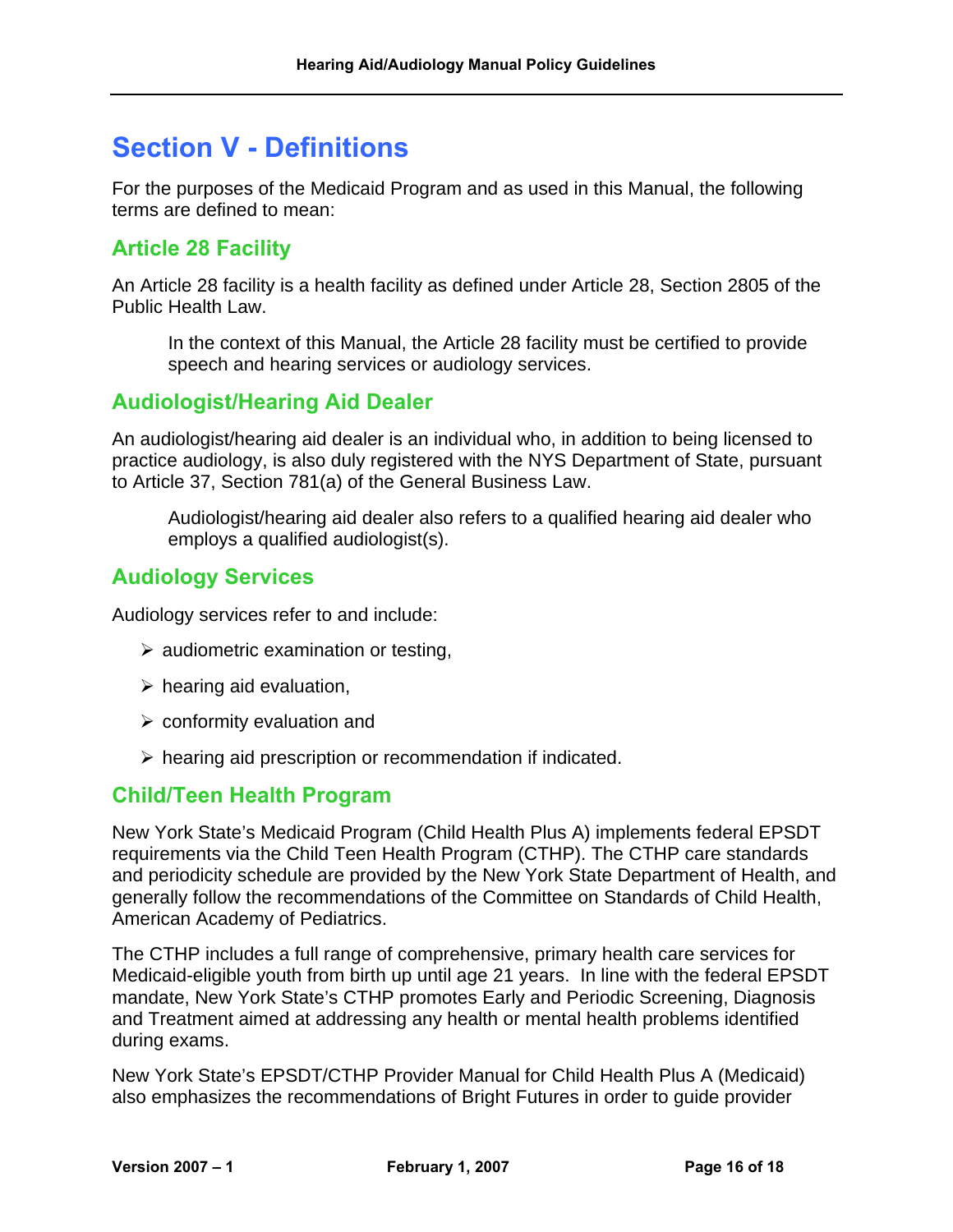# <span id="page-16-0"></span>**Section V - Definitions**

For the purposes of the Medicaid Program and as used in this Manual, the following terms are defined to mean:

## <span id="page-16-1"></span>**Article 28 Facility**

An Article 28 facility is a health facility as defined under Article 28, Section 2805 of the Public Health Law.

In the context of this Manual, the Article 28 facility must be certified to provide speech and hearing services or audiology services.

#### <span id="page-16-2"></span>**Audiologist/Hearing Aid Dealer**

An audiologist/hearing aid dealer is an individual who, in addition to being licensed to practice audiology, is also duly registered with the NYS Department of State, pursuant to Article 37, Section 781(a) of the General Business Law.

Audiologist/hearing aid dealer also refers to a qualified hearing aid dealer who employs a qualified audiologist(s).

## <span id="page-16-3"></span>**Audiology Services**

Audiology services refer to and include:

- $\triangleright$  audiometric examination or testing,
- $\triangleright$  hearing aid evaluation,
- $\triangleright$  conformity evaluation and
- $\triangleright$  hearing aid prescription or recommendation if indicated.

#### <span id="page-16-4"></span>**Child/Teen Health Program**

New York State's Medicaid Program (Child Health Plus A) implements federal EPSDT requirements via the Child Teen Health Program (CTHP). The CTHP care standards and periodicity schedule are provided by the New York State Department of Health, and generally follow the recommendations of the Committee on Standards of Child Health, American Academy of Pediatrics.

The CTHP includes a full range of comprehensive, primary health care services for Medicaid-eligible youth from birth up until age 21 years. In line with the federal EPSDT mandate, New York State's CTHP promotes Early and Periodic Screening, Diagnosis and Treatment aimed at addressing any health or mental health problems identified during exams.

New York State's EPSDT/CTHP Provider Manual for Child Health Plus A (Medicaid) also emphasizes the recommendations of Bright Futures in order to guide provider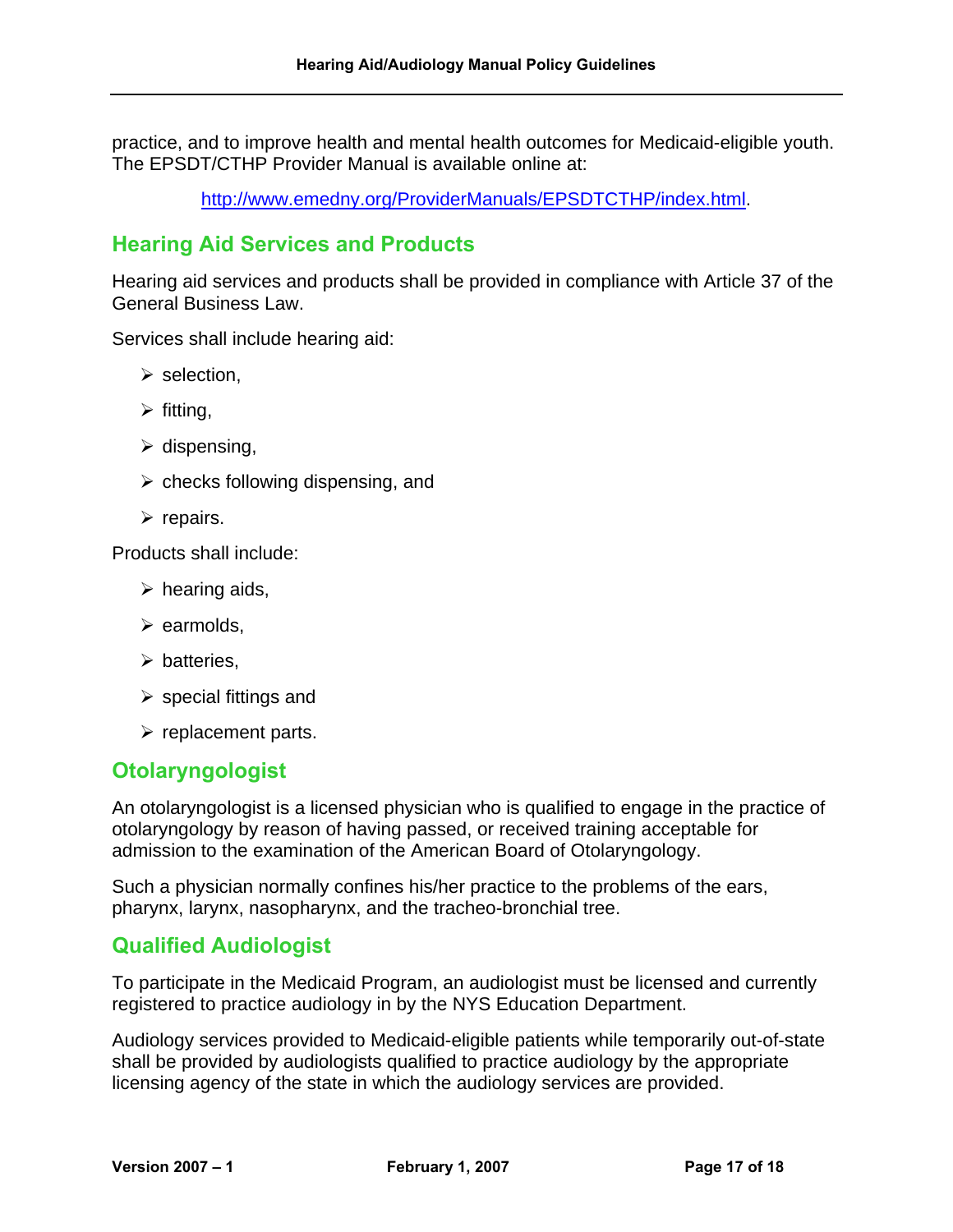practice, and to improve health and mental health outcomes for Medicaid-eligible youth. The EPSDT/CTHP Provider Manual is available online at:

[http://www.emedny.org/ProviderManuals/EPSDTCTHP/index.html.](http://www.emedny.org/ProviderManuals/EPSDTCTHP/index.html)

## <span id="page-17-0"></span>**Hearing Aid Services and Products**

Hearing aid services and products shall be provided in compliance with Article 37 of the General Business Law.

Services shall include hearing aid:

- $\triangleright$  selection,
- $\triangleright$  fitting,
- $\triangleright$  dispensing,
- $\triangleright$  checks following dispensing, and
- $\triangleright$  repairs.

Products shall include:

- $\triangleright$  hearing aids,
- $\triangleright$  earmolds,
- $\triangleright$  batteries.
- $\triangleright$  special fittings and
- $\triangleright$  replacement parts.

#### <span id="page-17-1"></span>**Otolaryngologist**

An otolaryngologist is a licensed physician who is qualified to engage in the practice of otolaryngology by reason of having passed, or received training acceptable for admission to the examination of the American Board of Otolaryngology.

Such a physician normally confines his/her practice to the problems of the ears, pharynx, larynx, nasopharynx, and the tracheo-bronchial tree.

#### <span id="page-17-2"></span>**Qualified Audiologist**

To participate in the Medicaid Program, an audiologist must be licensed and currently registered to practice audiology in by the NYS Education Department.

Audiology services provided to Medicaid-eligible patients while temporarily out-of-state shall be provided by audiologists qualified to practice audiology by the appropriate licensing agency of the state in which the audiology services are provided.